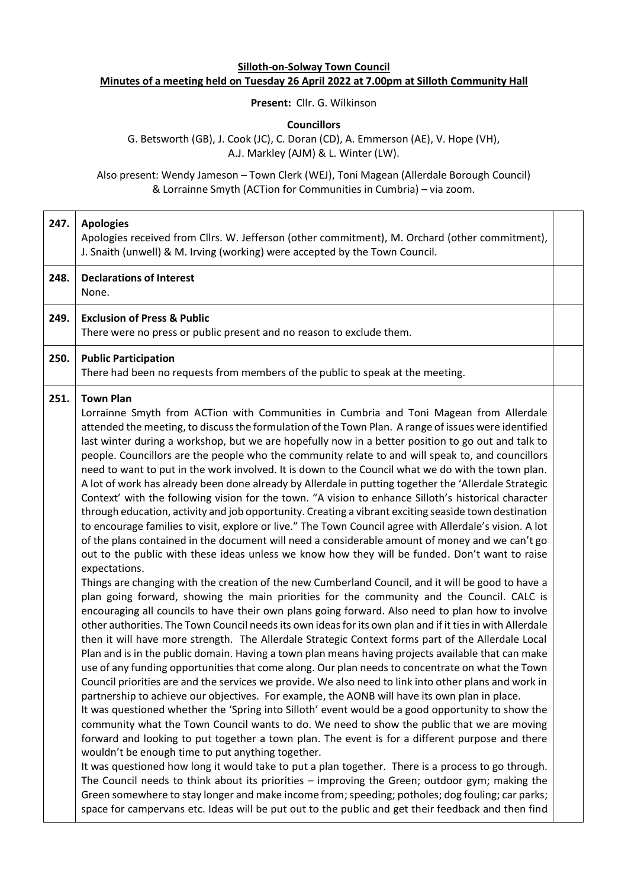## **Silloth-on-Solway Town Council Minutes of a meeting held on Tuesday 26 April 2022 at 7.00pm at Silloth Community Hall**

**Present:** Cllr. G. Wilkinson

**Councillors**

G. Betsworth (GB), J. Cook (JC), C. Doran (CD), A. Emmerson (AE), V. Hope (VH), A.J. Markley (AJM) & L. Winter (LW).

Also present: Wendy Jameson – Town Clerk (WEJ), Toni Magean (Allerdale Borough Council) & Lorrainne Smyth (ACTion for Communities in Cumbria) – via zoom.

| 247. | <b>Apologies</b><br>Apologies received from Cllrs. W. Jefferson (other commitment), M. Orchard (other commitment),<br>J. Snaith (unwell) & M. Irving (working) were accepted by the Town Council.                                                                                                                                                                                                                                                                                                                                                                                                                                                                                                                                                                                                                                                                                                                                                                                                                                                                                                                                                                                                                                                                                                                                                                                                                                                                                                                                                                                                                                                                                                                                                                                                                                                                                                                                                                                                                                                                                                                                                                                                                                                                                                                                                                                                                                                                                                                                                                                                                                                                                                                                                                                                                                                                                                                          |
|------|----------------------------------------------------------------------------------------------------------------------------------------------------------------------------------------------------------------------------------------------------------------------------------------------------------------------------------------------------------------------------------------------------------------------------------------------------------------------------------------------------------------------------------------------------------------------------------------------------------------------------------------------------------------------------------------------------------------------------------------------------------------------------------------------------------------------------------------------------------------------------------------------------------------------------------------------------------------------------------------------------------------------------------------------------------------------------------------------------------------------------------------------------------------------------------------------------------------------------------------------------------------------------------------------------------------------------------------------------------------------------------------------------------------------------------------------------------------------------------------------------------------------------------------------------------------------------------------------------------------------------------------------------------------------------------------------------------------------------------------------------------------------------------------------------------------------------------------------------------------------------------------------------------------------------------------------------------------------------------------------------------------------------------------------------------------------------------------------------------------------------------------------------------------------------------------------------------------------------------------------------------------------------------------------------------------------------------------------------------------------------------------------------------------------------------------------------------------------------------------------------------------------------------------------------------------------------------------------------------------------------------------------------------------------------------------------------------------------------------------------------------------------------------------------------------------------------------------------------------------------------------------------------------------------------|
| 248. | <b>Declarations of Interest</b><br>None.                                                                                                                                                                                                                                                                                                                                                                                                                                                                                                                                                                                                                                                                                                                                                                                                                                                                                                                                                                                                                                                                                                                                                                                                                                                                                                                                                                                                                                                                                                                                                                                                                                                                                                                                                                                                                                                                                                                                                                                                                                                                                                                                                                                                                                                                                                                                                                                                                                                                                                                                                                                                                                                                                                                                                                                                                                                                                   |
| 249. | <b>Exclusion of Press &amp; Public</b><br>There were no press or public present and no reason to exclude them.                                                                                                                                                                                                                                                                                                                                                                                                                                                                                                                                                                                                                                                                                                                                                                                                                                                                                                                                                                                                                                                                                                                                                                                                                                                                                                                                                                                                                                                                                                                                                                                                                                                                                                                                                                                                                                                                                                                                                                                                                                                                                                                                                                                                                                                                                                                                                                                                                                                                                                                                                                                                                                                                                                                                                                                                             |
| 250. | <b>Public Participation</b><br>There had been no requests from members of the public to speak at the meeting.                                                                                                                                                                                                                                                                                                                                                                                                                                                                                                                                                                                                                                                                                                                                                                                                                                                                                                                                                                                                                                                                                                                                                                                                                                                                                                                                                                                                                                                                                                                                                                                                                                                                                                                                                                                                                                                                                                                                                                                                                                                                                                                                                                                                                                                                                                                                                                                                                                                                                                                                                                                                                                                                                                                                                                                                              |
| 251. | <b>Town Plan</b><br>Lorrainne Smyth from ACTion with Communities in Cumbria and Toni Magean from Allerdale<br>attended the meeting, to discuss the formulation of the Town Plan. A range of issues were identified<br>last winter during a workshop, but we are hopefully now in a better position to go out and talk to<br>people. Councillors are the people who the community relate to and will speak to, and councillors<br>need to want to put in the work involved. It is down to the Council what we do with the town plan.<br>A lot of work has already been done already by Allerdale in putting together the 'Allerdale Strategic<br>Context' with the following vision for the town. "A vision to enhance Silloth's historical character<br>through education, activity and job opportunity. Creating a vibrant exciting seaside town destination<br>to encourage families to visit, explore or live." The Town Council agree with Allerdale's vision. A lot<br>of the plans contained in the document will need a considerable amount of money and we can't go<br>out to the public with these ideas unless we know how they will be funded. Don't want to raise<br>expectations.<br>Things are changing with the creation of the new Cumberland Council, and it will be good to have a<br>plan going forward, showing the main priorities for the community and the Council. CALC is<br>encouraging all councils to have their own plans going forward. Also need to plan how to involve<br>other authorities. The Town Council needs its own ideas for its own plan and if it ties in with Allerdale<br>then it will have more strength. The Allerdale Strategic Context forms part of the Allerdale Local<br>Plan and is in the public domain. Having a town plan means having projects available that can make<br>use of any funding opportunities that come along. Our plan needs to concentrate on what the Town<br>Council priorities are and the services we provide. We also need to link into other plans and work in<br>partnership to achieve our objectives. For example, the AONB will have its own plan in place.<br>It was questioned whether the 'Spring into Silloth' event would be a good opportunity to show the<br>community what the Town Council wants to do. We need to show the public that we are moving<br>forward and looking to put together a town plan. The event is for a different purpose and there<br>wouldn't be enough time to put anything together.<br>It was questioned how long it would take to put a plan together. There is a process to go through.<br>The Council needs to think about its priorities - improving the Green; outdoor gym; making the<br>Green somewhere to stay longer and make income from; speeding; potholes; dog fouling; car parks;<br>space for campervans etc. Ideas will be put out to the public and get their feedback and then find |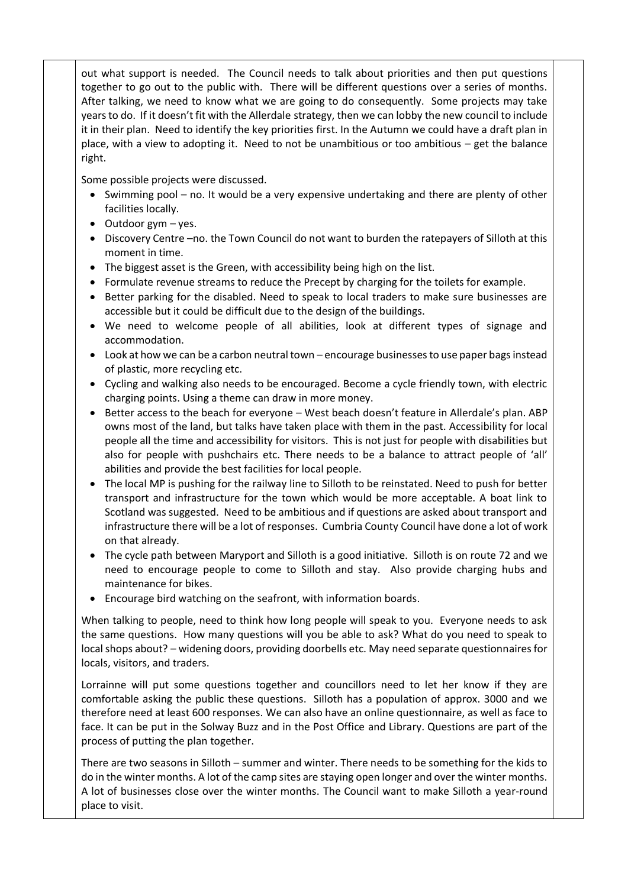out what support is needed. The Council needs to talk about priorities and then put questions together to go out to the public with. There will be different questions over a series of months. After talking, we need to know what we are going to do consequently. Some projects may take years to do. If it doesn't fit with the Allerdale strategy, then we can lobby the new council to include it in their plan. Need to identify the key priorities first. In the Autumn we could have a draft plan in place, with a view to adopting it. Need to not be unambitious or too ambitious – get the balance right.

Some possible projects were discussed.

- Swimming pool no. It would be a very expensive undertaking and there are plenty of other facilities locally.
- Outdoor gym yes.
- Discovery Centre –no. the Town Council do not want to burden the ratepayers of Silloth at this moment in time.
- The biggest asset is the Green, with accessibility being high on the list.
- Formulate revenue streams to reduce the Precept by charging for the toilets for example.
- Better parking for the disabled. Need to speak to local traders to make sure businesses are accessible but it could be difficult due to the design of the buildings.
- We need to welcome people of all abilities, look at different types of signage and accommodation.
- Look at how we can be a carbon neutral town encourage businesses to use paper bags instead of plastic, more recycling etc.
- Cycling and walking also needs to be encouraged. Become a cycle friendly town, with electric charging points. Using a theme can draw in more money.
- Better access to the beach for everyone West beach doesn't feature in Allerdale's plan. ABP owns most of the land, but talks have taken place with them in the past. Accessibility for local people all the time and accessibility for visitors. This is not just for people with disabilities but also for people with pushchairs etc. There needs to be a balance to attract people of 'all' abilities and provide the best facilities for local people.
- The local MP is pushing for the railway line to Silloth to be reinstated. Need to push for better transport and infrastructure for the town which would be more acceptable. A boat link to Scotland was suggested. Need to be ambitious and if questions are asked about transport and infrastructure there will be a lot of responses. Cumbria County Council have done a lot of work on that already.
- The cycle path between Maryport and Silloth is a good initiative. Silloth is on route 72 and we need to encourage people to come to Silloth and stay. Also provide charging hubs and maintenance for bikes.
- Encourage bird watching on the seafront, with information boards.

When talking to people, need to think how long people will speak to you. Everyone needs to ask the same questions. How many questions will you be able to ask? What do you need to speak to local shops about? – widening doors, providing doorbells etc. May need separate questionnaires for locals, visitors, and traders.

Lorrainne will put some questions together and councillors need to let her know if they are comfortable asking the public these questions. Silloth has a population of approx. 3000 and we therefore need at least 600 responses. We can also have an online questionnaire, as well as face to face. It can be put in the Solway Buzz and in the Post Office and Library. Questions are part of the process of putting the plan together.

There are two seasons in Silloth – summer and winter. There needs to be something for the kids to do in the winter months. A lot of the camp sites are staying open longer and over the winter months. A lot of businesses close over the winter months. The Council want to make Silloth a year-round place to visit.